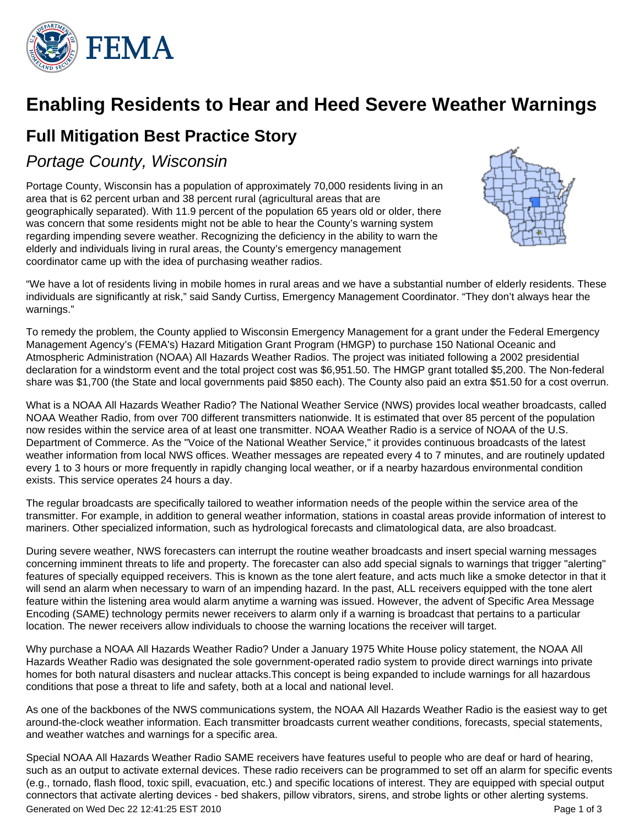

## **Enabling Residents to Hear and Heed Severe Weather Warnings**

## **Full Mitigation Best Practice Story**

## Portage County, Wisconsin

Portage County, Wisconsin has a population of approximately 70,000 residents living in an area that is 62 percent urban and 38 percent rural (agricultural areas that are geographically separated). With 11.9 percent of the population 65 years old or older, there was concern that some residents might not be able to hear the County's warning system regarding impending severe weather. Recognizing the deficiency in the ability to warn the elderly and individuals living in rural areas, the County's emergency management coordinator came up with the idea of purchasing weather radios.



"We have a lot of residents living in mobile homes in rural areas and we have a substantial number of elderly residents. These individuals are significantly at risk," said Sandy Curtiss, Emergency Management Coordinator. "They don't always hear the warnings."

To remedy the problem, the County applied to Wisconsin Emergency Management for a grant under the Federal Emergency Management Agency's (FEMA's) Hazard Mitigation Grant Program (HMGP) to purchase 150 National Oceanic and Atmospheric Administration (NOAA) All Hazards Weather Radios. The project was initiated following a 2002 presidential declaration for a windstorm event and the total project cost was \$6,951.50. The HMGP grant totalled \$5,200. The Non-federal share was \$1,700 (the State and local governments paid \$850 each). The County also paid an extra \$51.50 for a cost overrun.

What is a NOAA All Hazards Weather Radio? The National Weather Service (NWS) provides local weather broadcasts, called NOAA Weather Radio, from over 700 different transmitters nationwide. It is estimated that over 85 percent of the population now resides within the service area of at least one transmitter. NOAA Weather Radio is a service of NOAA of the U.S. Department of Commerce. As the "Voice of the National Weather Service," it provides continuous broadcasts of the latest weather information from local NWS offices. Weather messages are repeated every 4 to 7 minutes, and are routinely updated every 1 to 3 hours or more frequently in rapidly changing local weather, or if a nearby hazardous environmental condition exists. This service operates 24 hours a day.

The regular broadcasts are specifically tailored to weather information needs of the people within the service area of the transmitter. For example, in addition to general weather information, stations in coastal areas provide information of interest to mariners. Other specialized information, such as hydrological forecasts and climatological data, are also broadcast.

During severe weather, NWS forecasters can interrupt the routine weather broadcasts and insert special warning messages concerning imminent threats to life and property. The forecaster can also add special signals to warnings that trigger "alerting" features of specially equipped receivers. This is known as the tone alert feature, and acts much like a smoke detector in that it will send an alarm when necessary to warn of an impending hazard. In the past, ALL receivers equipped with the tone alert feature within the listening area would alarm anytime a warning was issued. However, the advent of Specific Area Message Encoding (SAME) technology permits newer receivers to alarm only if a warning is broadcast that pertains to a particular location. The newer receivers allow individuals to choose the warning locations the receiver will target.

Why purchase a NOAA All Hazards Weather Radio? Under a January 1975 White House policy statement, the NOAA All Hazards Weather Radio was designated the sole government-operated radio system to provide direct warnings into private homes for both natural disasters and nuclear attacks.This concept is being expanded to include warnings for all hazardous conditions that pose a threat to life and safety, both at a local and national level.

As one of the backbones of the NWS communications system, the NOAA All Hazards Weather Radio is the easiest way to get around-the-clock weather information. Each transmitter broadcasts current weather conditions, forecasts, special statements, and weather watches and warnings for a specific area.

Special NOAA All Hazards Weather Radio SAME receivers have features useful to people who are deaf or hard of hearing, such as an output to activate external devices. These radio receivers can be programmed to set off an alarm for specific events (e.g., tornado, flash flood, toxic spill, evacuation, etc.) and specific locations of interest. They are equipped with special output connectors that activate alerting devices - bed shakers, pillow vibrators, sirens, and strobe lights or other alerting systems. Generated on Wed Dec 22 12:41:25 EST 2010 Page 1 of 3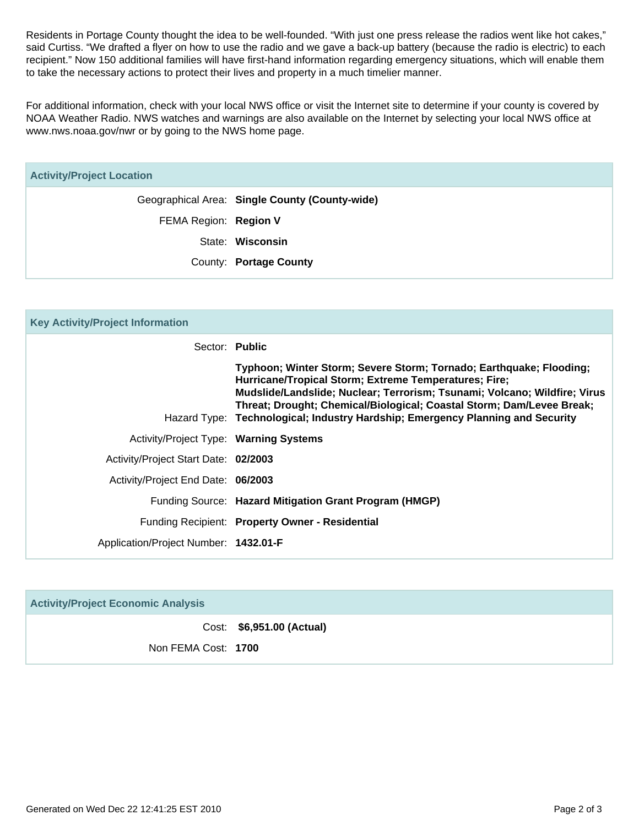Residents in Portage County thought the idea to be well-founded. "With just one press release the radios went like hot cakes," said Curtiss. "We drafted a flyer on how to use the radio and we gave a back-up battery (because the radio is electric) to each recipient." Now 150 additional families will have first-hand information regarding emergency situations, which will enable them to take the necessary actions to protect their lives and property in a much timelier manner.

For additional information, check with your local NWS office or visit the Internet site to determine if your county is covered by NOAA Weather Radio. NWS watches and warnings are also available on the Internet by selecting your local NWS office at www.nws.noaa.gov/nwr or by going to the NWS home page.

| <b>Activity/Project Location</b> |                                                |  |
|----------------------------------|------------------------------------------------|--|
|                                  | Geographical Area: Single County (County-wide) |  |
| FEMA Region: Region V            |                                                |  |
|                                  | State: Wisconsin                               |  |
|                                  | County: Portage County                         |  |

| <b>Key Activity/Project Information</b> |                                                                                                                                                                                                                                                                                                                                                                      |  |
|-----------------------------------------|----------------------------------------------------------------------------------------------------------------------------------------------------------------------------------------------------------------------------------------------------------------------------------------------------------------------------------------------------------------------|--|
| Sector: Public                          |                                                                                                                                                                                                                                                                                                                                                                      |  |
|                                         | Typhoon; Winter Storm; Severe Storm; Tornado; Earthquake; Flooding;<br>Hurricane/Tropical Storm; Extreme Temperatures; Fire;<br>Mudslide/Landslide; Nuclear; Terrorism; Tsunami; Volcano; Wildfire; Virus<br>Threat; Drought; Chemical/Biological; Coastal Storm; Dam/Levee Break;<br>Hazard Type: Technological; Industry Hardship; Emergency Planning and Security |  |
| Activity/Project Type: Warning Systems  |                                                                                                                                                                                                                                                                                                                                                                      |  |
| Activity/Project Start Date: 02/2003    |                                                                                                                                                                                                                                                                                                                                                                      |  |
| Activity/Project End Date: 06/2003      |                                                                                                                                                                                                                                                                                                                                                                      |  |
|                                         | Funding Source: Hazard Mitigation Grant Program (HMGP)                                                                                                                                                                                                                                                                                                               |  |
|                                         | Funding Recipient: Property Owner - Residential                                                                                                                                                                                                                                                                                                                      |  |
| Application/Project Number: 1432.01-F   |                                                                                                                                                                                                                                                                                                                                                                      |  |

| <b>Activity/Project Economic Analysis</b> |                           |  |
|-------------------------------------------|---------------------------|--|
|                                           | Cost: \$6,951.00 (Actual) |  |
| Non FEMA Cost: 1700                       |                           |  |